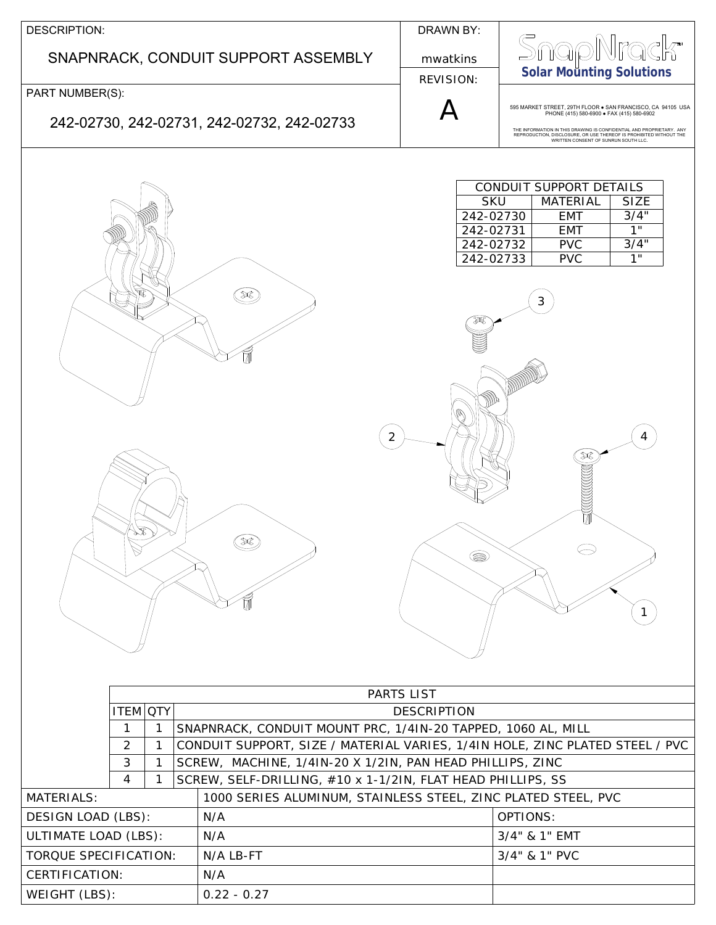| DESCRIPTION:                                                        | DRAWN BY:                                                                                                                                                                                                                                                                                    |
|---------------------------------------------------------------------|----------------------------------------------------------------------------------------------------------------------------------------------------------------------------------------------------------------------------------------------------------------------------------------------|
| SNAPNRACK, CONDUIT SUPPORT ASSEMBLY                                 | mwatkins<br><b>Solar Mounting Solutions</b><br><b>REVISION:</b>                                                                                                                                                                                                                              |
| PART NUMBER(S):                                                     |                                                                                                                                                                                                                                                                                              |
| 242-02730, 242-02731, 242-02732, 242-02733                          | 595 MARKET STREET, 29TH FLOOR . SAN FRANCISCO, CA 94105 USA<br>PHONE (415) 580-6900 . FAX (415) 580-6902<br>THE INFORMATION IN THIS DRAWING IS CONFIDENTIAL AND PROPRIETARY. ANY REPRODUCTION, DISCLOSURE, OR USE THEREOF IS PROHIBITED WITHOUT THE<br>WRITTEN CONSENT OF SUNRUN SOUTH LLC.  |
| $\mathcal{R}$<br>$\circledast$                                      | CONDUIT SUPPORT DETAILS<br><b>SKU</b><br><b>MATERIAL</b><br><b>SIZE</b><br>3/4"<br>242-02730<br><b>EMT</b><br>1"<br>242-02731<br><b>EMT</b><br>3/4"<br>242-02732<br><b>PVC</b><br><b>PVC</b><br>1"<br>242-02733<br>3<br>2<br>₩<br>⌒<br>$\circledcirc$<br>$\overline{1}$<br><b>PARTS LIST</b> |
| <b>ITEM OTY</b>                                                     | <b>DESCRIPTION</b>                                                                                                                                                                                                                                                                           |
| 1<br>1<br>$\overline{2}$<br>1                                       | SNAPNRACK, CONDUIT MOUNT PRC, 1/4IN-20 TAPPED, 1060 AL, MILL<br>CONDUIT SUPPORT, SIZE / MATERIAL VARIES, 1/4IN HOLE, ZINC PLATED STEEL / PVC                                                                                                                                                 |
| 3<br>SCREW, MACHINE, 1/4IN-20 X 1/2IN, PAN HEAD PHILLIPS, ZINC<br>1 |                                                                                                                                                                                                                                                                                              |
| 4                                                                   | SCREW, SELF-DRILLING, #10 x 1-1/2IN, FLAT HEAD PHILLIPS, SS                                                                                                                                                                                                                                  |
| <b>MATERIALS:</b>                                                   | 1000 SERIES ALUMINUM, STAINLESS STEEL, ZINC PLATED STEEL, PVC                                                                                                                                                                                                                                |
| N/A<br><b>DESIGN LOAD (LBS):</b>                                    | OPTIONS:                                                                                                                                                                                                                                                                                     |
| ULTIMATE LOAD (LBS):<br>N/A                                         | 3/4" & 1" EMT                                                                                                                                                                                                                                                                                |
| TORQUE SPECIFICATION:<br>N/A LB-FT                                  | 3/4" & 1" PVC                                                                                                                                                                                                                                                                                |
| CERTIFICATION:<br>N/A                                               |                                                                                                                                                                                                                                                                                              |
| WEIGHT (LBS):<br>$0.22 - 0.27$                                      |                                                                                                                                                                                                                                                                                              |